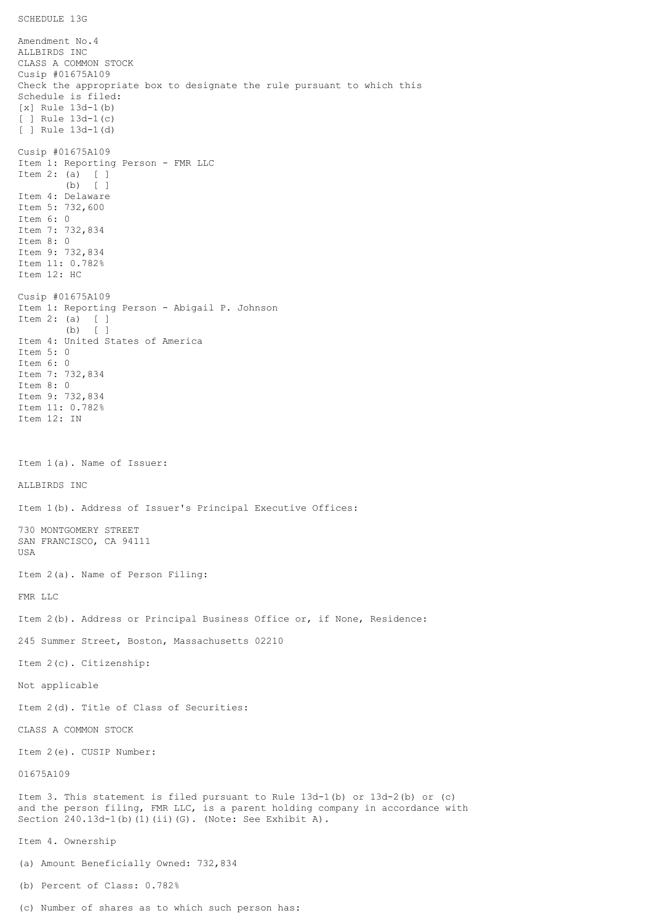## SCHEDULE 13G

Amendment No.4 ALLBIRDS INC CLASS A COMMON STOCK Cusip #01675A109 Check the appropriate box to designate the rule pursuant to which this Schedule is filed: [x] Rule 13d-1(b) [ ] Rule 13d-1(c) [ ] Rule 13d-1(d) Cusip #01675A109 Item 1: Reporting Person - FMR LLC Item 2: (a) [ ] (b) [ ] Item 4: Delaware Item 5: 732,600 Item 6: 0 Item 7: 732,834 Item 8: 0 Item 9: 732,834 Item 11: 0.782% Item 12: HC Cusip #01675A109 Item 1: Reporting Person - Abigail P. Johnson Item 2: (a) [ ] (b) [ ] Item 4: United States of America Item 5: 0 Item 6: 0 Item 7: 732,834 Item 8: 0 Item 9: 732,834 Item 11: 0.782% Item 12: IN Item 1(a). Name of Issuer: ALLBIRDS INC Item 1(b). Address of Issuer's Principal Executive Offices: 730 MONTGOMERY STREET SAN FRANCISCO, CA 94111 USA Item 2(a). Name of Person Filing: FMR LLC Item 2(b). Address or Principal Business Office or, if None, Residence: 245 Summer Street, Boston, Massachusetts 02210 Item 2(c). Citizenship: Not applicable Item 2(d). Title of Class of Securities: CLASS A COMMON STOCK Item 2(e). CUSIP Number: 01675A109 Item 3. This statement is filed pursuant to Rule 13d-1(b) or 13d-2(b) or (c) and the person filing, FMR LLC, is a parent holding company in accordance with Section 240.13d-1(b)(1)(ii)(G). (Note: See Exhibit A). Item 4. Ownership (a) Amount Beneficially Owned: 732,834 (b) Percent of Class: 0.782%

(c) Number of shares as to which such person has: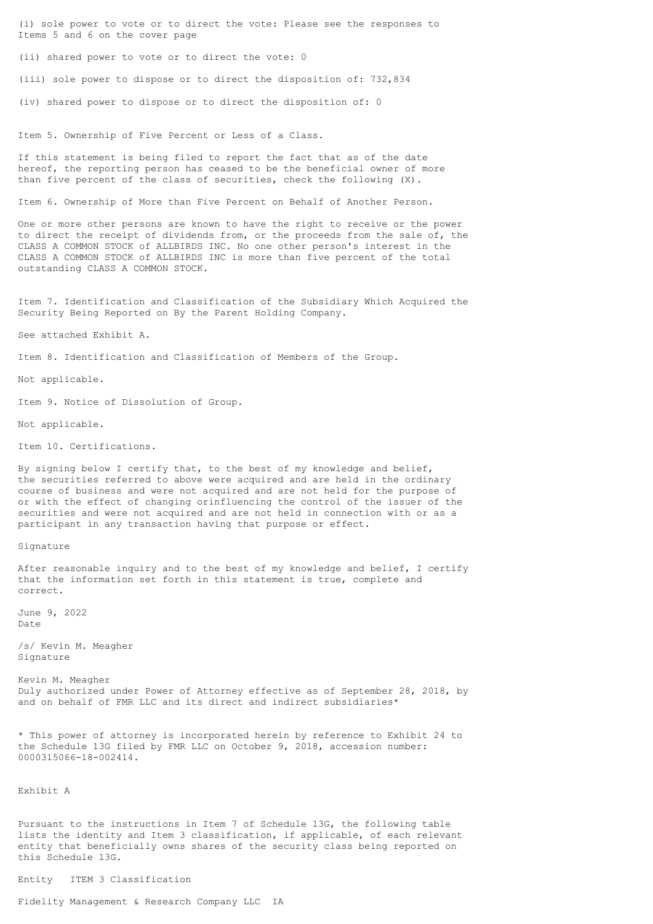(i) sole power to vote or to direct the vote: Please see the responses to Items 5 and 6 on the cover page

(ii) shared power to vote or to direct the vote: 0

(iii) sole power to dispose or to direct the disposition of: 732,834

(iv) shared power to dispose or to direct the disposition of: 0

Item 5. Ownership of Five Percent or Less of a Class.

If this statement is being filed to report the fact that as of the date hereof, the reporting person has ceased to be the beneficial owner of more than five percent of the class of securities, check the following (X).

Item 6. Ownership of More than Five Percent on Behalf of Another Person.

One or more other persons are known to have the right to receive or the power to direct the receipt of dividends from, or the proceeds from the sale of, the CLASS A COMMON STOCK of ALLBIRDS INC. No one other person's interest in the CLASS A COMMON STOCK of ALLBIRDS INC is more than five percent of the total outstanding CLASS A COMMON STOCK.

Item 7. Identification and Classification of the Subsidiary Which Acquired the Security Being Reported on By the Parent Holding Company.

See attached Exhibit A.

Item 8. Identification and Classification of Members of the Group.

Not applicable.

Item 9. Notice of Dissolution of Group.

Not applicable.

Item 10. Certifications.

By signing below I certify that, to the best of my knowledge and belief, the securities referred to above were acquired and are held in the ordinary course of business and were not acquired and are not held for the purpose of or with the effect of changing orinfluencing the control of the issuer of the securities and were not acquired and are not held in connection with or as a participant in any transaction having that purpose or effect.

Signature

After reasonable inquiry and to the best of my knowledge and belief, I certify that the information set forth in this statement is true, complete and correct.

June 9, 2022 Date

/s/ Kevin M. Meagher Signature

Kevin M. Meagher Duly authorized under Power of Attorney effective as of September 28, 2018, by and on behalf of FMR LLC and its direct and indirect subsidiaries\*

\* This power of attorney is incorporated herein by reference to Exhibit 24 to the Schedule 13G filed by FMR LLC on October 9, 2018, accession number: 0000315066-18-002414.

Exhibit A

Pursuant to the instructions in Item 7 of Schedule 13G, the following table lists the identity and Item 3 classification, if applicable, of each relevant entity that beneficially owns shares of the security class being reported on this Schedule 13G.

Entity ITEM 3 Classification

Fidelity Management & Research Company LLC IA